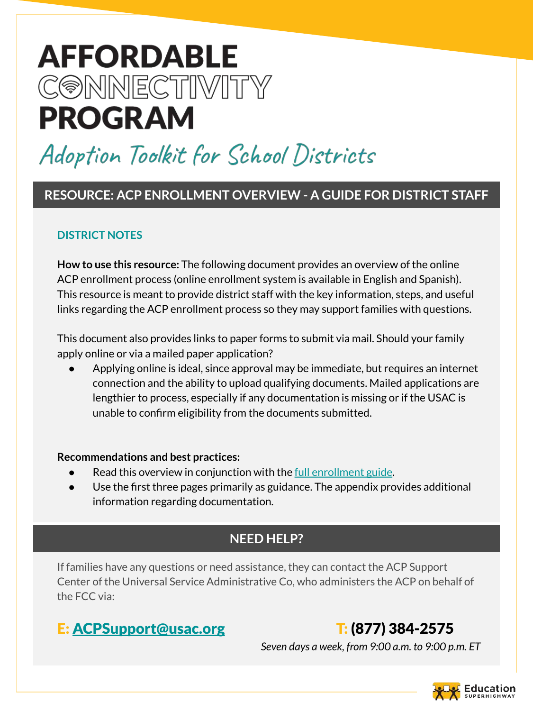# **AFFORDABLE** CONNECTIVITY **PROGRAM**

# Adoption Toolkit for School Districts

### **RESOURCE: ACP ENROLLMENT OVERVIEW - A GUIDE FOR DISTRICT STAFF**

#### **DISTRICT NOTES**

**How to use this resource:** The following document provides an overview of the online ACP enrollment process (online enrollment system is available in English and Spanish). This resource is meant to provide district staff with the key information, steps, and useful links regarding the ACP enrollment process so they may support families with questions.

This document also provides links to paper forms to submit via mail. Should your family apply online or via a mailed paper application?

Applying online is ideal, since approval may be immediate, but requires an internet connection and the ability to upload qualifying documents. Mailed applications are lengthier to process, especially if any documentation is missing or if the USAC is unable to confirm eligibility from the documents submitted.

#### **Recommendations and best practices:**

- Read this overview in conjunction with the <u>full enrollment guide</u>.
- Use the first three pages primarily as guidance. The appendix provides additional information regarding documentation.

## **NEED HELP?**

If families have any questions or need assistance, they can contact the ACP Support Center of the Universal Service Administrative Co, who administers the ACP on behalf of the FCC via:

# E: [ACPSupport@usac.org](mailto:ACPSupport@usac.org) T: (877) 384-2575

 *Seven days a week, from 9:00 a.m. to 9:00 p.m. ET*

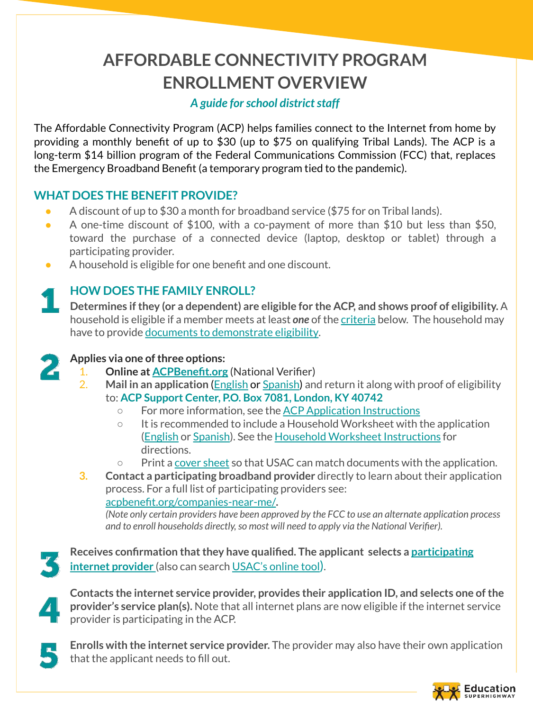# **AFFORDABLE CONNECTIVITY PROGRAM ENROLLMENT OVERVIEW**

#### *A guide for school district staff*

The Affordable Connectivity Program (ACP) helps families connect to the Internet from home by providing a monthly benefit of up to \$30 (up to \$75 on qualifying Tribal Lands). The ACP is a long-term \$14 billion program of the Federal Communications Commission (FCC) that, replaces the Emergency Broadband Benefit (a temporary program tied to the pandemic).

#### **WHAT DOES THE BENEFIT PROVIDE?**

- A discount of up to \$30 a month for broadband service (\$75 for on Tribal lands).
- A one-time discount of  $$100$ , with a co-payment of more than  $$10$  but less than  $$50$ , toward the purchase of a connected device (laptop, desktop or tablet) through a participating provider.
- A household is eligible for one benefit and one discount.

#### **HOW DOES THE FAMILY ENROLL?**

**Determines if they (or a dependent) are eligible for the ACP, and shows proof of eligibility.** A household is eligible if a member meets at least *one* of the [criteria](https://acpbenefit.org/do-i-qualify/) below. The household may have to provide [documents to demonstrate eligibility.](https://acpbenefit.org/how-to-apply/show-you-qualify/)



#### **Applies via one of three options:**

- 1. **Online at [ACPBenefit.org](https://acpbenefit.org/)** (National Verifier)
- 2. **Mail in an application** ([English](https://acpbenefit.org/wp-content/uploads/lifeline/images/ACP-Application-Form-English.pdf) or [Spanish](https://acpbenefit.org/wp-content/uploads/lifeline/images/ACP-Application-Form-Spanish.pdf)) and return it along with proof of eligibility to: **ACP Support Center, P.O. Box 7081, London, KY 40742**
	- For more information, see the [ACP Application Instructions](https://acpbenefit.org/wp-content/uploads/lifeline/images/ACP-Application-Instructions-FINAL.pdf)
	- $\circ$  It is recommended to include a Household Worksheet with the application [\(English](https://acpbenefit.org/wp-content/uploads/lifeline/images/ACP-Household-Worksheet-English.pdf) or [Spanish\)](https://acpbenefit.org/wp-content/uploads/lifeline/images/ACP-Household-Worksheet-Spanish.pdf). See the [Household Worksheet Instructions](https://acpbenefit.org/wp-content/uploads/lifeline/images/ACP-Household-Worksheet-Instructions-FINAL.pdf) for directions.
	- Print a [cover sheet](https://acpbenefit.org/wp-content/uploads/acp/documents/cover-sheet.pdf) so that USAC can match documents with the application.
- **3. Contact a participating broadband provider** directly to learn about their application process. For a full list of participating providers see: [acpbenefit.org/companies-near-me/](https://acpbenefit.org/companies-near-me/)**.**

*(Note only certain providers have been approved by the FCC to use an alternate application process and to enroll households directly, so most will need to apply via the National Verifier).*

**Receives confirmation that they have qualified. The applicant selects a [participating](https://www.fcc.gov/affordable-connectivity-program-providers) [internet provider](https://www.fcc.gov/affordable-connectivity-program-providers)** (also can search [USAC's online tool](https://acpbenefit.org/companies-near-me/)).

**Contacts the internet service provider, provides their application ID, and selects one of the provider's service plan(s).** Note that all internet plans are now eligible if the internet service provider is participating in the ACP.

**Enrolls with the internet service provider.** The provider may also have their own application that the applicant needs to fill out.

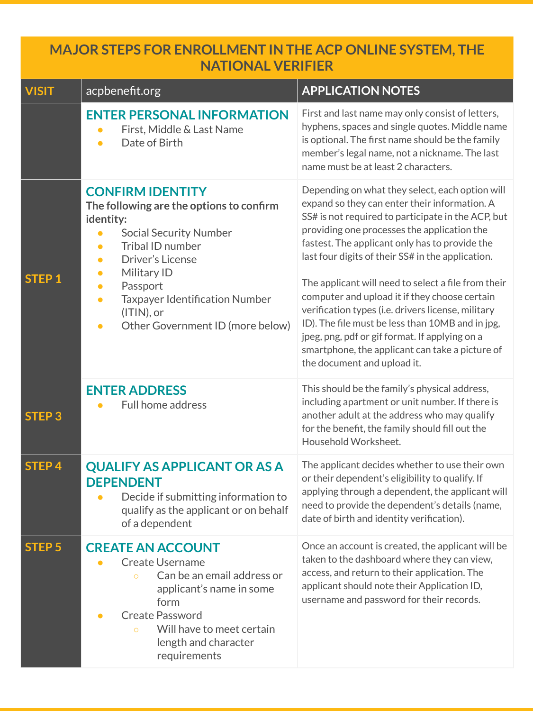### **MAJOR STEPS FOR ENROLLMENT IN THE ACP ONLINE SYSTEM, THE NATIONAL VERIFIER**

| <b>VISIT</b>      | acpbenefit.org                                                                                                                                                                                                                                                                                                                                                   | <b>APPLICATION NOTES</b>                                                                                                                                                                                                                                                                                                                                                                                                                                                                                                                                                                                                                                           |
|-------------------|------------------------------------------------------------------------------------------------------------------------------------------------------------------------------------------------------------------------------------------------------------------------------------------------------------------------------------------------------------------|--------------------------------------------------------------------------------------------------------------------------------------------------------------------------------------------------------------------------------------------------------------------------------------------------------------------------------------------------------------------------------------------------------------------------------------------------------------------------------------------------------------------------------------------------------------------------------------------------------------------------------------------------------------------|
|                   | <b>ENTER PERSONAL INFORMATION</b><br>First, Middle & Last Name<br>Date of Birth<br>$\bullet$                                                                                                                                                                                                                                                                     | First and last name may only consist of letters,<br>hyphens, spaces and single quotes. Middle name<br>is optional. The first name should be the family<br>member's legal name, not a nickname. The last<br>name must be at least 2 characters.                                                                                                                                                                                                                                                                                                                                                                                                                     |
| <b>STEP1</b>      | <b>CONFIRM IDENTITY</b><br>The following are the options to confirm<br>identity:<br><b>Social Security Number</b><br>$\bullet$<br>Tribal ID number<br>$\bullet$<br>Driver's License<br>Military ID<br>$\bullet$<br>Passport<br>$\bullet$<br><b>Taxpayer Identification Number</b><br>$\bullet$<br>$(ITIN)$ , or<br>Other Government ID (more below)<br>$\bullet$ | Depending on what they select, each option will<br>expand so they can enter their information. A<br>SS# is not required to participate in the ACP, but<br>providing one processes the application the<br>fastest. The applicant only has to provide the<br>last four digits of their SS# in the application.<br>The applicant will need to select a file from their<br>computer and upload it if they choose certain<br>verification types (i.e. drivers license, military<br>ID). The file must be less than 10MB and in jpg,<br>jpeg, png, pdf or gif format. If applying on a<br>smartphone, the applicant can take a picture of<br>the document and upload it. |
| <b>STEP3</b>      | <b>ENTER ADDRESS</b><br>Full home address                                                                                                                                                                                                                                                                                                                        | This should be the family's physical address,<br>including apartment or unit number. If there is<br>another adult at the address who may qualify<br>for the benefit, the family should fill out the<br>Household Worksheet.                                                                                                                                                                                                                                                                                                                                                                                                                                        |
| STEP <sub>4</sub> | <b>QUALIFY AS APPLICANT OR AS A</b><br><b>DEPENDENT</b><br>Decide if submitting information to<br>qualify as the applicant or on behalf<br>of a dependent                                                                                                                                                                                                        | The applicant decides whether to use their own<br>or their dependent's eligibility to qualify. If<br>applying through a dependent, the applicant will<br>need to provide the dependent's details (name,<br>date of birth and identity verification).                                                                                                                                                                                                                                                                                                                                                                                                               |
| <b>STEP 5</b>     | <b>CREATE AN ACCOUNT</b><br><b>Create Username</b><br>Can be an email address or<br>$\circ$<br>applicant's name in some<br>form<br><b>Create Password</b><br>Will have to meet certain<br>$\Omega$<br>length and character<br>requirements                                                                                                                       | Once an account is created, the applicant will be<br>taken to the dashboard where they can view,<br>access, and return to their application. The<br>applicant should note their Application ID,<br>username and password for their records.                                                                                                                                                                                                                                                                                                                                                                                                                        |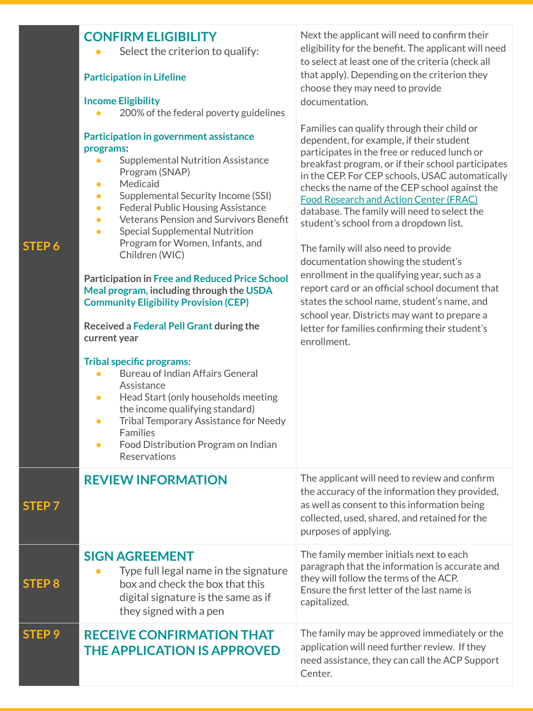| STEP 6            | <b>CONFIRM ELIGIBILITY</b><br>Select the criterion to qualify:<br><b>Participation in Lifeline</b><br><b>Income Eligibility</b><br>200% of the federal poverty guidelines<br>Participation in government assistance<br>programs:<br><b>Supplemental Nutrition Assistance</b><br>Program (SNAP)<br>Medicaid<br>$\bullet$<br>Supplemental Security Income (SSI)<br>$\bullet$<br><b>Federal Public Housing Assistance</b><br>$\bullet$<br><b>Veterans Pension and Survivors Benefit</b><br>$\bullet$<br><b>Special Supplemental Nutrition</b><br>$\bullet$<br>Program for Women, Infants, and<br>Children (WIC)<br><b>Participation in Free and Reduced Price School</b><br>Meal program, including through the USDA<br><b>Community Eligibility Provision (CEP)</b><br>Received a Federal Pell Grant during the<br>current year<br><b>Tribal specific programs:</b><br><b>Bureau of Indian Affairs General</b><br>Assistance<br>Head Start (only households meeting<br>$\bullet$<br>the income qualifying standard)<br>Tribal Temporary Assistance for Needy<br>$\bullet$<br>Families<br>Food Distribution Program on Indian<br>$\bullet$ | Next the applicant will need to confirm their<br>eligibility for the benefit. The applicant will need<br>to select at least one of the criteria (check all<br>that apply). Depending on the criterion they<br>choose they may need to provide<br>documentation.<br>Families can qualify through their child or<br>dependent, for example, if their student<br>participates in the free or reduced lunch or<br>breakfast program, or if their school participates<br>in the CEP. For CEP schools, USAC automatically<br>checks the name of the CEP school against the<br><b>Food Research and Action Center (FRAC)</b><br>database. The family will need to select the<br>student's school from a dropdown list.<br>The family will also need to provide<br>documentation showing the student's<br>enrollment in the qualifying year, such as a<br>report card or an official school document that<br>states the school name, student's name, and<br>school year. Districts may want to prepare a<br>letter for families confirming their student's<br>enrollment. |
|-------------------|-----------------------------------------------------------------------------------------------------------------------------------------------------------------------------------------------------------------------------------------------------------------------------------------------------------------------------------------------------------------------------------------------------------------------------------------------------------------------------------------------------------------------------------------------------------------------------------------------------------------------------------------------------------------------------------------------------------------------------------------------------------------------------------------------------------------------------------------------------------------------------------------------------------------------------------------------------------------------------------------------------------------------------------------------------------------------------------------------------------------------------------------|-------------------------------------------------------------------------------------------------------------------------------------------------------------------------------------------------------------------------------------------------------------------------------------------------------------------------------------------------------------------------------------------------------------------------------------------------------------------------------------------------------------------------------------------------------------------------------------------------------------------------------------------------------------------------------------------------------------------------------------------------------------------------------------------------------------------------------------------------------------------------------------------------------------------------------------------------------------------------------------------------------------------------------------------------------------------|
|                   | Reservations                                                                                                                                                                                                                                                                                                                                                                                                                                                                                                                                                                                                                                                                                                                                                                                                                                                                                                                                                                                                                                                                                                                            |                                                                                                                                                                                                                                                                                                                                                                                                                                                                                                                                                                                                                                                                                                                                                                                                                                                                                                                                                                                                                                                                   |
| STEP <sub>7</sub> | <b>REVIEW INFORMATION</b>                                                                                                                                                                                                                                                                                                                                                                                                                                                                                                                                                                                                                                                                                                                                                                                                                                                                                                                                                                                                                                                                                                               | The applicant will need to review and confirm<br>the accuracy of the information they provided,<br>as well as consent to this information being<br>collected, used, shared, and retained for the<br>purposes of applying.                                                                                                                                                                                                                                                                                                                                                                                                                                                                                                                                                                                                                                                                                                                                                                                                                                         |
| STEP <sub>8</sub> | <b>SIGN AGREEMENT</b><br>Type full legal name in the signature<br>box and check the box that this<br>digital signature is the same as if<br>they signed with a pen                                                                                                                                                                                                                                                                                                                                                                                                                                                                                                                                                                                                                                                                                                                                                                                                                                                                                                                                                                      | The family member initials next to each<br>paragraph that the information is accurate and<br>they will follow the terms of the ACP.<br>Ensure the first letter of the last name is<br>capitalized.                                                                                                                                                                                                                                                                                                                                                                                                                                                                                                                                                                                                                                                                                                                                                                                                                                                                |
| STEP <sub>9</sub> | <b>RECEIVE CONFIRMATION THAT</b><br><b>THE APPLICATION IS APPROVED</b>                                                                                                                                                                                                                                                                                                                                                                                                                                                                                                                                                                                                                                                                                                                                                                                                                                                                                                                                                                                                                                                                  | The family may be approved immediately or the<br>application will need further review. If they<br>need assistance, they can call the ACP Support<br>Center.                                                                                                                                                                                                                                                                                                                                                                                                                                                                                                                                                                                                                                                                                                                                                                                                                                                                                                       |